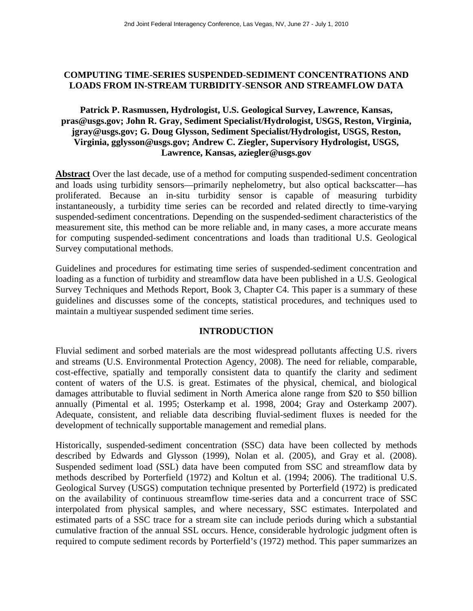## **COMPUTING TIME-SERIES SUSPENDED-SEDIMENT CONCENTRATIONS AND LOADS FROM IN-STREAM TURBIDITY-SENSOR AND STREAMFLOW DATA**

# **Patrick P. Rasmussen, Hydrologist, U.S. Geological Survey, Lawrence, Kansas, pras@usgs.gov; John R. Gray, Sediment Specialist/Hydrologist, USGS, Reston, Virginia, jgray@usgs.gov; G. Doug Glysson, Sediment Specialist/Hydrologist, USGS, Reston, Virginia, gglysson@usgs.gov; Andrew C. Ziegler, Supervisory Hydrologist, USGS, Lawrence, Kansas, aziegler@usgs.gov**

**Abstract** Over the last decade, use of a method for computing suspended-sediment concentration and loads using turbidity sensors—primarily nephelometry, but also optical backscatter—has proliferated. Because an in-situ turbidity sensor is capable of measuring turbidity instantaneously, a turbidity time series can be recorded and related directly to time-varying suspended-sediment concentrations. Depending on the suspended-sediment characteristics of the measurement site, this method can be more reliable and, in many cases, a more accurate means for computing suspended-sediment concentrations and loads than traditional U.S. Geological Survey computational methods.

Guidelines and procedures for estimating time series of suspended-sediment concentration and loading as a function of turbidity and streamflow data have been published in a U.S. Geological Survey Techniques and Methods Report, Book 3, Chapter C4. This paper is a summary of these guidelines and discusses some of the concepts, statistical procedures, and techniques used to maintain a multiyear suspended sediment time series.

### **INTRODUCTION**

Fluvial sediment and sorbed materials are the most widespread pollutants affecting U.S. rivers and streams (U.S. Environmental Protection Agency, 2008). The need for reliable, comparable, cost-effective, spatially and temporally consistent data to quantify the clarity and sediment content of waters of the U.S. is great. Estimates of the physical, chemical, and biological damages attributable to fluvial sediment in North America alone range from \$20 to \$50 billion annually (Pimental et al. 1995; Osterkamp et al. 1998, 2004; Gray and Osterkamp 2007). Adequate, consistent, and reliable data describing fluvial-sediment fluxes is needed for the development of technically supportable management and remedial plans.

Historically, suspended-sediment concentration (SSC) data have been collected by methods described by Edwards and Glysson (1999), Nolan et al. (2005), and Gray et al. (2008). Suspended sediment load (SSL) data have been computed from SSC and streamflow data by methods described by Porterfield (1972) and Koltun et al. (1994; 2006). The traditional U.S. Geological Survey (USGS) computation technique presented by Porterfield (1972) is predicated on the availability of continuous streamflow time-series data and a concurrent trace of SSC interpolated from physical samples, and where necessary, SSC estimates. Interpolated and estimated parts of a SSC trace for a stream site can include periods during which a substantial cumulative fraction of the annual SSL occurs. Hence, considerable hydrologic judgment often is required to compute sediment records by Porterfield's (1972) method. This paper summarizes an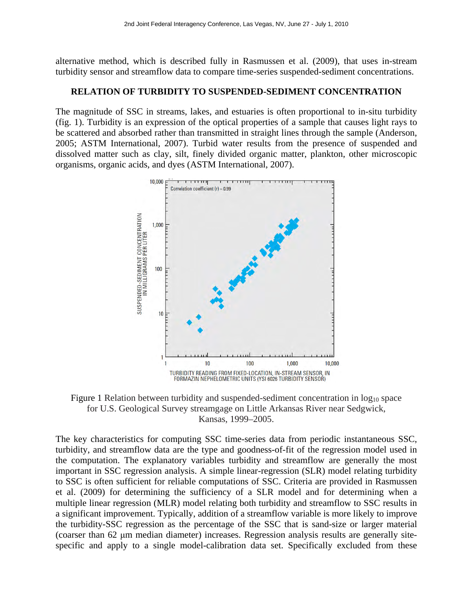alternative method, which is described fully in Rasmussen et al. (2009), that uses in-stream turbidity sensor and streamflow data to compare time-series suspended-sediment concentrations.

### **RELATION OF TURBIDITY TO SUSPENDED-SEDIMENT CONCENTRATION**

The magnitude of SSC in streams, lakes, and estuaries is often proportional to in-situ turbidity (fig. 1). Turbidity is an expression of the optical properties of a sample that causes light rays to be scattered and absorbed rather than transmitted in straight lines through the sample (Anderson, 2005; ASTM International, 2007). Turbid water results from the presence of suspended and dissolved matter such as clay, silt, finely divided organic matter, plankton, other microscopic organisms, organic acids, and dyes (ASTM International, 2007).



Figure 1 Relation between turbidity and suspended-sediment concentration in  $log_{10}$  space for U.S. Geological Survey streamgage on Little Arkansas River near Sedgwick, Kansas, 1999–2005.

The key characteristics for computing SSC time-series data from periodic instantaneous SSC, turbidity, and streamflow data are the type and goodness-of-fit of the regression model used in the computation. The explanatory variables turbidity and streamflow are generally the most important in SSC regression analysis. A simple linear-regression (SLR) model relating turbidity to SSC is often sufficient for reliable computations of SSC. Criteria are provided in Rasmussen et al. (2009) for determining the sufficiency of a SLR model and for determining when a multiple linear regression (MLR) model relating both turbidity and streamflow to SSC results in a significant improvement. Typically, addition of a streamflow variable is more likely to improve the turbidity-SSC regression as the percentage of the SSC that is sand-size or larger material (coarser than 62 μm median diameter) increases. Regression analysis results are generally sitespecific and apply to a single model-calibration data set. Specifically excluded from these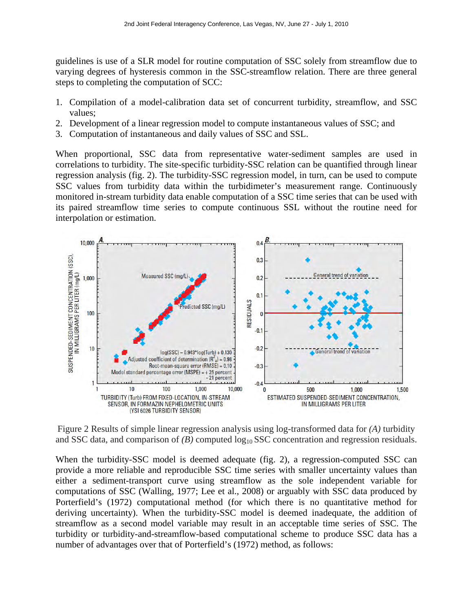guidelines is use of a SLR model for routine computation of SSC solely from streamflow due to varying degrees of hysteresis common in the SSC-streamflow relation. There are three general steps to completing the computation of SCC:

- 1. Compilation of a model-calibration data set of concurrent turbidity, streamflow, and SSC values;
- 2. Development of a linear regression model to compute instantaneous values of SSC; and
- 3. Computation of instantaneous and daily values of SSC and SSL.

When proportional, SSC data from representative water-sediment samples are used in correlations to turbidity. The site-specific turbidity-SSC relation can be quantified through linear regression analysis (fig. 2). The turbidity-SSC regression model, in turn, can be used to compute SSC values from turbidity data within the turbidimeter's measurement range. Continuously monitored in-stream turbidity data enable computation of a SSC time series that can be used with its paired streamflow time series to compute continuous SSL without the routine need for interpolation or estimation.



Figure 2 Results of simple linear regression analysis using log-transformed data for *(A)* turbidity and SSC data, and comparison of *(B)* computed  $log_{10}$ SSC concentration and regression residuals.

When the turbidity-SSC model is deemed adequate (fig. 2), a regression-computed SSC can provide a more reliable and reproducible SSC time series with smaller uncertainty values than either a sediment-transport curve using streamflow as the sole independent variable for computations of SSC (Walling, 1977; Lee et al., 2008) or arguably with SSC data produced by Porterfield's (1972) computational method (for which there is no quantitative method for deriving uncertainty). When the turbidity-SSC model is deemed inadequate, the addition of streamflow as a second model variable may result in an acceptable time series of SSC. The turbidity or turbidity-and-streamflow-based computational scheme to produce SSC data has a number of advantages over that of Porterfield's (1972) method, as follows: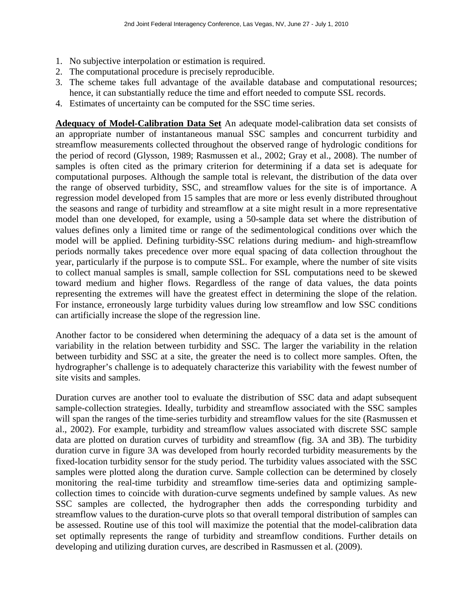- 1. No subjective interpolation or estimation is required.
- 2. The computational procedure is precisely reproducible.
- 3. The scheme takes full advantage of the available database and computational resources; hence, it can substantially reduce the time and effort needed to compute SSL records.
- 4. Estimates of uncertainty can be computed for the SSC time series.

**Adequacy of Model-Calibration Data Set** An adequate model-calibration data set consists of an appropriate number of instantaneous manual SSC samples and concurrent turbidity and streamflow measurements collected throughout the observed range of hydrologic conditions for the period of record (Glysson, 1989; Rasmussen et al., 2002; Gray et al., 2008). The number of samples is often cited as the primary criterion for determining if a data set is adequate for computational purposes. Although the sample total is relevant, the distribution of the data over the range of observed turbidity, SSC, and streamflow values for the site is of importance. A regression model developed from 15 samples that are more or less evenly distributed throughout the seasons and range of turbidity and streamflow at a site might result in a more representative model than one developed, for example, using a 50-sample data set where the distribution of values defines only a limited time or range of the sedimentological conditions over which the model will be applied. Defining turbidity-SSC relations during medium- and high-streamflow periods normally takes precedence over more equal spacing of data collection throughout the year, particularly if the purpose is to compute SSL. For example, where the number of site visits to collect manual samples is small, sample collection for SSL computations need to be skewed toward medium and higher flows. Regardless of the range of data values, the data points representing the extremes will have the greatest effect in determining the slope of the relation. For instance, erroneously large turbidity values during low streamflow and low SSC conditions can artificially increase the slope of the regression line.

Another factor to be considered when determining the adequacy of a data set is the amount of variability in the relation between turbidity and SSC. The larger the variability in the relation between turbidity and SSC at a site, the greater the need is to collect more samples. Often, the hydrographer's challenge is to adequately characterize this variability with the fewest number of site visits and samples.

Duration curves are another tool to evaluate the distribution of SSC data and adapt subsequent sample-collection strategies. Ideally, turbidity and streamflow associated with the SSC samples will span the ranges of the time-series turbidity and streamflow values for the site (Rasmussen et al., 2002). For example, turbidity and streamflow values associated with discrete SSC sample data are plotted on duration curves of turbidity and streamflow (fig. 3A and 3B). The turbidity duration curve in figure 3A was developed from hourly recorded turbidity measurements by the fixed-location turbidity sensor for the study period. The turbidity values associated with the SSC samples were plotted along the duration curve. Sample collection can be determined by closely monitoring the real-time turbidity and streamflow time-series data and optimizing samplecollection times to coincide with duration-curve segments undefined by sample values. As new SSC samples are collected, the hydrographer then adds the corresponding turbidity and streamflow values to the duration-curve plots so that overall temporal distribution of samples can be assessed. Routine use of this tool will maximize the potential that the model-calibration data set optimally represents the range of turbidity and streamflow conditions. Further details on developing and utilizing duration curves, are described in Rasmussen et al. (2009).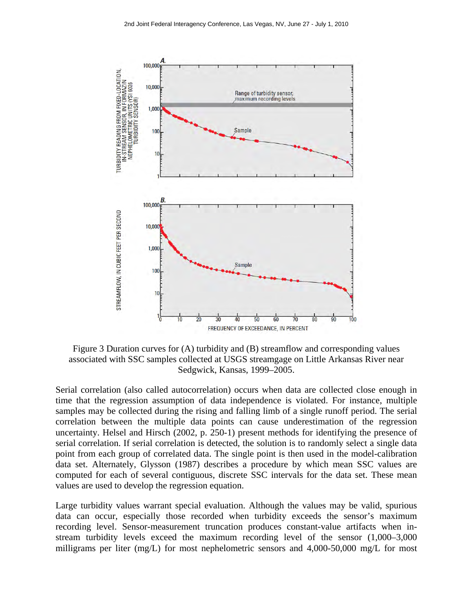

Figure 3 Duration curves for (A) turbidity and (B) streamflow and corresponding values associated with SSC samples collected at USGS streamgage on Little Arkansas River near Sedgwick, Kansas, 1999–2005.

Serial correlation (also called autocorrelation) occurs when data are collected close enough in time that the regression assumption of data independence is violated. For instance, multiple samples may be collected during the rising and falling limb of a single runoff period. The serial correlation between the multiple data points can cause underestimation of the regression uncertainty. Helsel and Hirsch (2002, p. 250-1) present methods for identifying the presence of serial correlation. If serial correlation is detected, the solution is to randomly select a single data point from each group of correlated data. The single point is then used in the model-calibration data set. Alternately, Glysson (1987) describes a procedure by which mean SSC values are computed for each of several contiguous, discrete SSC intervals for the data set. These mean values are used to develop the regression equation.

Large turbidity values warrant special evaluation. Although the values may be valid, spurious data can occur, especially those recorded when turbidity exceeds the sensor's maximum recording level. Sensor-measurement truncation produces constant-value artifacts when instream turbidity levels exceed the maximum recording level of the sensor (1,000–3,000 milligrams per liter (mg/L) for most nephelometric sensors and 4,000-50,000 mg/L for most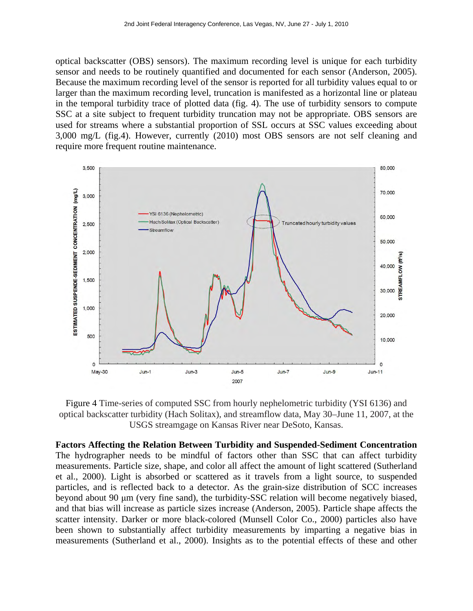optical backscatter (OBS) sensors). The maximum recording level is unique for each turbidity sensor and needs to be routinely quantified and documented for each sensor (Anderson, 2005). Because the maximum recording level of the sensor is reported for all turbidity values equal to or larger than the maximum recording level, truncation is manifested as a horizontal line or plateau in the temporal turbidity trace of plotted data (fig. 4). The use of turbidity sensors to compute SSC at a site subject to frequent turbidity truncation may not be appropriate. OBS sensors are used for streams where a substantial proportion of SSL occurs at SSC values exceeding about 3,000 mg/L (fig.4). However, currently (2010) most OBS sensors are not self cleaning and require more frequent routine maintenance.



Figure 4 Time-series of computed SSC from hourly nephelometric turbidity (YSI 6136) and optical backscatter turbidity (Hach Solitax), and streamflow data, May 30–June 11, 2007, at the USGS streamgage on Kansas River near DeSoto, Kansas.

**Factors Affecting the Relation Between Turbidity and Suspended-Sediment Concentration**  The hydrographer needs to be mindful of factors other than SSC that can affect turbidity measurements. Particle size, shape, and color all affect the amount of light scattered (Sutherland et al., 2000). Light is absorbed or scattered as it travels from a light source, to suspended particles, and is reflected back to a detector. As the grain-size distribution of SCC increases beyond about 90 μm (very fine sand), the turbidity-SSC relation will become negatively biased, and that bias will increase as particle sizes increase (Anderson, 2005). Particle shape affects the scatter intensity. Darker or more black-colored (Munsell Color Co., 2000) particles also have been shown to substantially affect turbidity measurements by imparting a negative bias in measurements (Sutherland et al., 2000). Insights as to the potential effects of these and other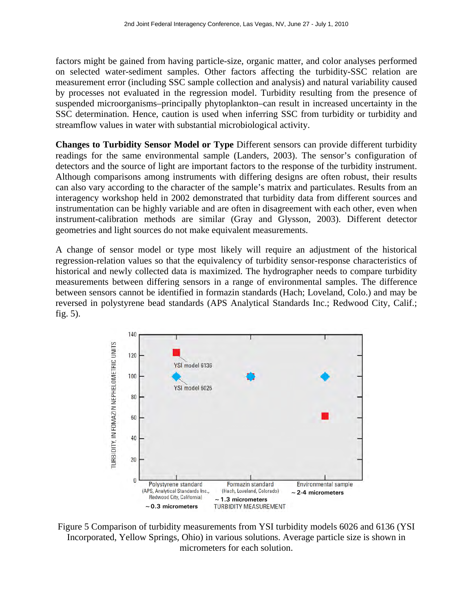factors might be gained from having particle-size, organic matter, and color analyses performed on selected water-sediment samples. Other factors affecting the turbidity-SSC relation are measurement error (including SSC sample collection and analysis) and natural variability caused by processes not evaluated in the regression model. Turbidity resulting from the presence of suspended microorganisms–principally phytoplankton–can result in increased uncertainty in the SSC determination. Hence, caution is used when inferring SSC from turbidity or turbidity and streamflow values in water with substantial microbiological activity.

**Changes to Turbidity Sensor Model or Type** Different sensors can provide different turbidity readings for the same environmental sample (Landers, 2003). The sensor's configuration of detectors and the source of light are important factors to the response of the turbidity instrument. Although comparisons among instruments with differing designs are often robust, their results can also vary according to the character of the sample's matrix and particulates. Results from an interagency workshop held in 2002 demonstrated that turbidity data from different sources and instrumentation can be highly variable and are often in disagreement with each other, even when instrument-calibration methods are similar (Gray and Glysson, 2003). Different detector geometries and light sources do not make equivalent measurements.

A change of sensor model or type most likely will require an adjustment of the historical regression-relation values so that the equivalency of turbidity sensor-response characteristics of historical and newly collected data is maximized. The hydrographer needs to compare turbidity measurements between differing sensors in a range of environmental samples. The difference between sensors cannot be identified in formazin standards (Hach; Loveland, Colo.) and may be reversed in polystyrene bead standards (APS Analytical Standards Inc.; Redwood City, Calif.; fig. 5).



Figure 5 Comparison of turbidity measurements from YSI turbidity models 6026 and 6136 (YSI Incorporated, Yellow Springs, Ohio) in various solutions. Average particle size is shown in micrometers for each solution.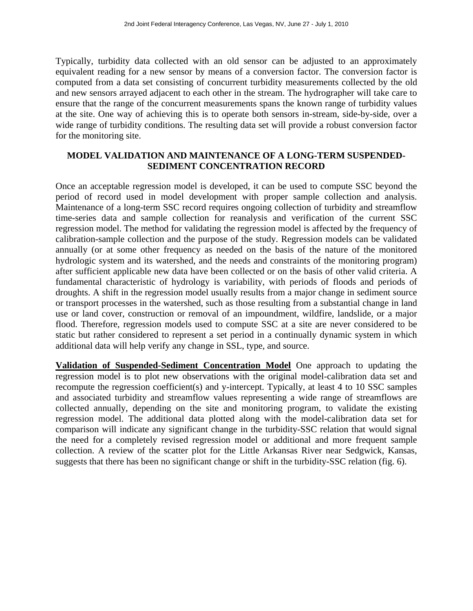Typically, turbidity data collected with an old sensor can be adjusted to an approximately equivalent reading for a new sensor by means of a conversion factor. The conversion factor is computed from a data set consisting of concurrent turbidity measurements collected by the old and new sensors arrayed adjacent to each other in the stream. The hydrographer will take care to ensure that the range of the concurrent measurements spans the known range of turbidity values at the site. One way of achieving this is to operate both sensors in-stream, side-by-side, over a wide range of turbidity conditions. The resulting data set will provide a robust conversion factor for the monitoring site.

## **MODEL VALIDATION AND MAINTENANCE OF A LONG-TERM SUSPENDED-SEDIMENT CONCENTRATION RECORD**

Once an acceptable regression model is developed, it can be used to compute SSC beyond the period of record used in model development with proper sample collection and analysis. Maintenance of a long-term SSC record requires ongoing collection of turbidity and streamflow time-series data and sample collection for reanalysis and verification of the current SSC regression model. The method for validating the regression model is affected by the frequency of calibration-sample collection and the purpose of the study. Regression models can be validated annually (or at some other frequency as needed on the basis of the nature of the monitored hydrologic system and its watershed, and the needs and constraints of the monitoring program) after sufficient applicable new data have been collected or on the basis of other valid criteria. A fundamental characteristic of hydrology is variability, with periods of floods and periods of droughts. A shift in the regression model usually results from a major change in sediment source or transport processes in the watershed, such as those resulting from a substantial change in land use or land cover, construction or removal of an impoundment, wildfire, landslide, or a major flood. Therefore, regression models used to compute SSC at a site are never considered to be static but rather considered to represent a set period in a continually dynamic system in which additional data will help verify any change in SSL, type, and source.

**Validation of Suspended-Sediment Concentration Model** One approach to updating the regression model is to plot new observations with the original model-calibration data set and recompute the regression coefficient(s) and y-intercept. Typically, at least 4 to 10 SSC samples and associated turbidity and streamflow values representing a wide range of streamflows are collected annually, depending on the site and monitoring program, to validate the existing regression model. The additional data plotted along with the model-calibration data set for comparison will indicate any significant change in the turbidity-SSC relation that would signal the need for a completely revised regression model or additional and more frequent sample collection. A review of the scatter plot for the Little Arkansas River near Sedgwick, Kansas, suggests that there has been no significant change or shift in the turbidity-SSC relation (fig. 6).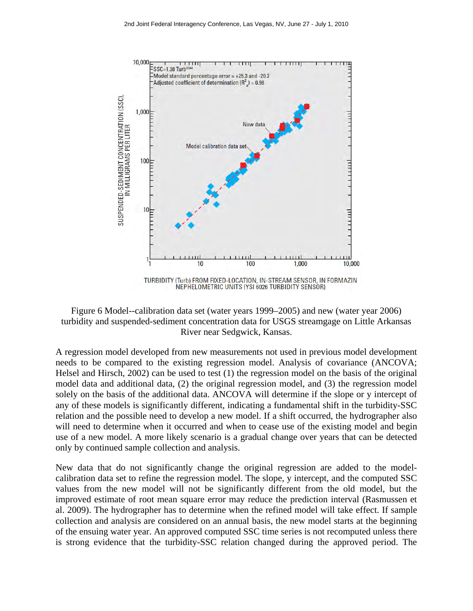

Figure 6 Model--calibration data set (water years 1999–2005) and new (water year 2006) turbidity and suspended-sediment concentration data for USGS streamgage on Little Arkansas River near Sedgwick, Kansas.

A regression model developed from new measurements not used in previous model development needs to be compared to the existing regression model. Analysis of covariance (ANCOVA; Helsel and Hirsch, 2002) can be used to test (1) the regression model on the basis of the original model data and additional data, (2) the original regression model, and (3) the regression model solely on the basis of the additional data. ANCOVA will determine if the slope or y intercept of any of these models is significantly different, indicating a fundamental shift in the turbidity-SSC relation and the possible need to develop a new model. If a shift occurred, the hydrographer also will need to determine when it occurred and when to cease use of the existing model and begin use of a new model. A more likely scenario is a gradual change over years that can be detected only by continued sample collection and analysis.

New data that do not significantly change the original regression are added to the modelcalibration data set to refine the regression model. The slope, y intercept, and the computed SSC values from the new model will not be significantly different from the old model, but the improved estimate of root mean square error may reduce the prediction interval (Rasmussen et al. 2009). The hydrographer has to determine when the refined model will take effect. If sample collection and analysis are considered on an annual basis, the new model starts at the beginning of the ensuing water year. An approved computed SSC time series is not recomputed unless there is strong evidence that the turbidity-SSC relation changed during the approved period. The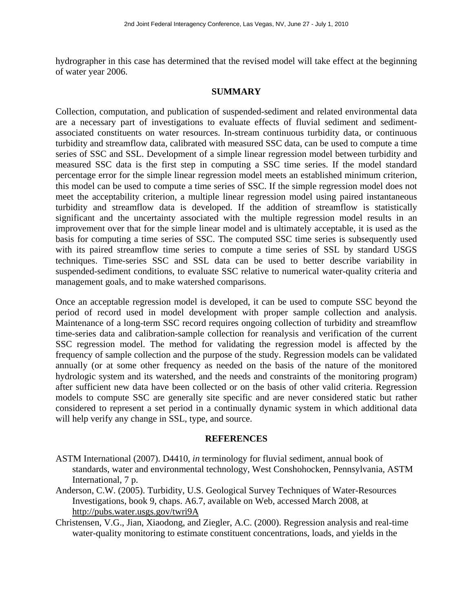hydrographer in this case has determined that the revised model will take effect at the beginning of water year 2006.

#### **SUMMARY**

Collection, computation, and publication of suspended-sediment and related environmental data are a necessary part of investigations to evaluate effects of fluvial sediment and sedimentassociated constituents on water resources. In-stream continuous turbidity data, or continuous turbidity and streamflow data, calibrated with measured SSC data, can be used to compute a time series of SSC and SSL. Development of a simple linear regression model between turbidity and measured SSC data is the first step in computing a SSC time series. If the model standard percentage error for the simple linear regression model meets an established minimum criterion, this model can be used to compute a time series of SSC. If the simple regression model does not meet the acceptability criterion, a multiple linear regression model using paired instantaneous turbidity and streamflow data is developed. If the addition of streamflow is statistically significant and the uncertainty associated with the multiple regression model results in an improvement over that for the simple linear model and is ultimately acceptable, it is used as the basis for computing a time series of SSC. The computed SSC time series is subsequently used with its paired streamflow time series to compute a time series of SSL by standard USGS techniques. Time-series SSC and SSL data can be used to better describe variability in suspended-sediment conditions, to evaluate SSC relative to numerical water-quality criteria and management goals, and to make watershed comparisons.

Once an acceptable regression model is developed, it can be used to compute SSC beyond the period of record used in model development with proper sample collection and analysis. Maintenance of a long-term SSC record requires ongoing collection of turbidity and streamflow time-series data and calibration-sample collection for reanalysis and verification of the current SSC regression model. The method for validating the regression model is affected by the frequency of sample collection and the purpose of the study. Regression models can be validated annually (or at some other frequency as needed on the basis of the nature of the monitored hydrologic system and its watershed, and the needs and constraints of the monitoring program) after sufficient new data have been collected or on the basis of other valid criteria. Regression models to compute SSC are generally site specific and are never considered static but rather considered to represent a set period in a continually dynamic system in which additional data will help verify any change in SSL, type, and source.

#### **REFERENCES**

- ASTM International (2007). D4410, *in* terminology for fluvial sediment, annual book of standards, water and environmental technology, West Conshohocken, Pennsylvania, ASTM International, 7 p.
- Anderson, C.W. (2005). Turbidity, U.S. Geological Survey Techniques of Water-Resources Investigations, book 9, chaps. A6.7, available on Web, accessed March 2008, at http://pubs.water.usgs.gov/twri9A
- Christensen, V.G., Jian, Xiaodong, and Ziegler, A.C. (2000). Regression analysis and real-time water-quality monitoring to estimate constituent concentrations, loads, and yields in the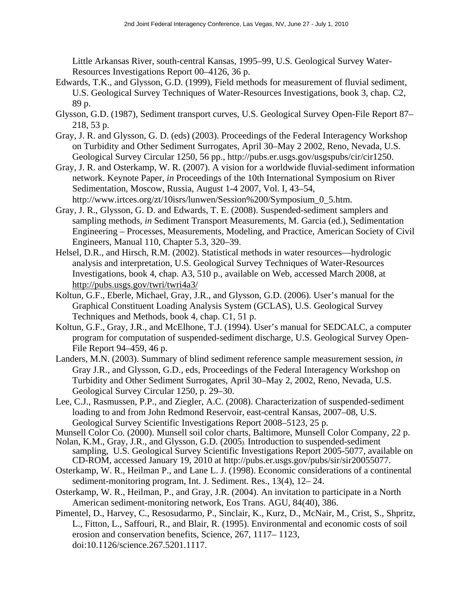Little Arkansas River, south-central Kansas, 1995–99, U.S. Geological Survey Water-Resources Investigations Report 00–4126, 36 p.

- Edwards, T.K., and Glysson, G.D. (1999), Field methods for measurement of fluvial sediment, U.S. Geological Survey Techniques of Water-Resources Investigations, book 3, chap. C2, 89 p.
- Glysson, G.D. (1987), Sediment transport curves, U.S. Geological Survey Open-File Report 87– 218, 53 p.
- Gray, J. R. and Glysson, G. D. (eds) (2003). Proceedings of the Federal Interagency Workshop on Turbidity and Other Sediment Surrogates, April 30–May 2 2002, Reno, Nevada, U.S. Geological Survey Circular 1250, 56 pp., http://pubs.er.usgs.gov/usgspubs/cir/cir1250.
- Gray, J. R. and Osterkamp, W. R. (2007). A vision for a worldwide fluvial-sediment information network. Keynote Paper, *in* Proceedings of the 10th International Symposium on River Sedimentation, Moscow, Russia, August 1-4 2007, Vol. I, 43–54, http://www.irtces.org/zt/10isrs/lunwen/Session%200/Symposium\_0\_5.htm.
- Gray, J. R., Glysson, G. D. and Edwards, T. E. (2008). Suspended-sediment samplers and sampling methods, *in* Sediment Transport Measurements, M. Garcia (ed.), Sedimentation Engineering – Processes, Measurements, Modeling, and Practice, American Society of Civil Engineers, Manual 110, Chapter 5.3, 320–39.
- Helsel, D.R., and Hirsch, R.M. (2002). Statistical methods in water resources—hydrologic analysis and interpretation, U.S. Geological Survey Techniques of Water-Resources Investigations, book 4, chap. A3, 510 p., available on Web, accessed March 2008, at http://pubs.usgs.gov/twri/twri4a3/
- Koltun, G.F., Eberle, Michael, Gray, J.R., and Glysson, G.D. (2006). User's manual for the Graphical Constituent Loading Analysis System (GCLAS), U.S. Geological Survey Techniques and Methods, book 4, chap. C1, 51 p.
- Koltun, G.F., Gray, J.R., and McElhone, T.J. (1994). User's manual for SEDCALC, a computer program for computation of suspended-sediment discharge, U.S. Geological Survey Open-File Report 94–459, 46 p.
- Landers, M.N. (2003). Summary of blind sediment reference sample measurement session, *in*  Gray J.R., and Glysson, G.D., eds, Proceedings of the Federal Interagency Workshop on Turbidity and Other Sediment Surrogates, April 30–May 2, 2002, Reno, Nevada, U.S. Geological Survey Circular 1250, p. 29–30.
- Lee, C.J., Rasmussen, P.P., and Ziegler, A.C. (2008). Characterization of suspended-sediment loading to and from John Redmond Reservoir, east-central Kansas, 2007–08, U.S. Geological Survey Scientific Investigations Report 2008–5123, 25 p.

Munsell Color Co. (2000). Munsell soil color charts, Baltimore, Munsell Color Company, 22 p.

- Nolan, K.M., Gray, J.R., and Glysson, G.D. (2005). Introduction to suspended-sediment sampling, U.S. Geological Survey Scientific Investigations Report 2005-5077, available on CD-ROM, accessed January 19, 2010 at http://pubs.er.usgs.gov/pubs/sir/sir20055077.
- Osterkamp, W. R., Heilman P., and Lane L. J. (1998). Economic considerations of a continental sediment-monitoring program, Int. J. Sediment. Res., 13(4), 12– 24.
- Osterkamp, W. R., Heilman, P., and Gray, J.R. (2004). An invitation to participate in a North American sediment-monitoring network, Eos Trans. AGU, 84(40), 386.
- Pimentel, D., Harvey, C., Resosudarmo, P., Sinclair, K., Kurz, D., McNair, M., Crist, S., Shpritz, L., Fitton, L., Saffouri, R., and Blair, R. (1995). Environmental and economic costs of soil erosion and conservation benefits, Science, 267, 1117– 1123, doi:10.1126/science.267.5201.1117.